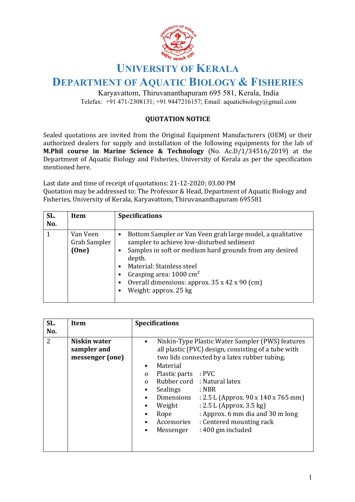

## **UNIVERSITY OF KERALA**

## **DEPARTMENT OF AQUATIC BIOLOGY & FISHERIES**

Karyavattom, Thiruvananthapuram 695 581, Kerala, India Telefax: +91 471-2308131; +91 9447216157; Email: aquaticbiology@gmail.com

## **QUOTATION NOTICE**

Sealed quotations are invited from the Original Equipment Manufacturers (OEM) or their authorized dealers for supply and installation of the following equipments for the lab of **M.Phil course in Marine Science & Technology** (No. Ac.D/1/34516/2019) at the Department of Aquatic Biology and Fisheries, University of Kerala as per the specification mentioned here.

Last date and time of receipt of quotations: 21-12-2020; 03.00 PM Quotation may be addressed to: The Professor & Head, Department of Aquatic Biology and Fisheries, University of Kerala, Karyavattom, Thiruvananthapuram 695581

| SL.<br>No. | Item                              | <b>Specifications</b>                                                                                                                                                                                                                                                                                                                  |
|------------|-----------------------------------|----------------------------------------------------------------------------------------------------------------------------------------------------------------------------------------------------------------------------------------------------------------------------------------------------------------------------------------|
|            | Van Veen<br>Grab Sampler<br>(One) | Bottom Sampler or Van Veen grab large model, a qualitative<br>$\bullet$<br>sampler to achieve low-disturbed sediment<br>Samples in soft or medium hard grounds from any desired<br>depth.<br>Material: Stainless steel<br>Grasping area: $1000 \text{ cm}^2$<br>Overall dimensions: approx. 35 x 42 x 90 (cm)<br>Weight: approx. 25 kg |

| SL.<br>No.     | Item                                           | <b>Specifications</b>                                                                                                                                                                                                                                                                                                                                                                                                                                                                                                                                                                                  |
|----------------|------------------------------------------------|--------------------------------------------------------------------------------------------------------------------------------------------------------------------------------------------------------------------------------------------------------------------------------------------------------------------------------------------------------------------------------------------------------------------------------------------------------------------------------------------------------------------------------------------------------------------------------------------------------|
| $\overline{2}$ | Niskin water<br>sampler and<br>messenger (one) | Niskin-Type Plastic Water Sampler (PWS) features<br>$\bullet$<br>all plastic (PVC) design, consisting of a tube with<br>two lids connected by a latex rubber tubing.<br>Material<br>$\bullet$<br>Plastic parts : PVC<br>$\mathbf{0}$<br>Rubber cord : Natural latex<br>$\Omega$<br>Sealings<br>: NBR<br>$\bullet$<br>Dimensions<br>: 2.5 L (Approx. 90 x 140 x 765 mm)<br>$\bullet$<br>: 2.5 L (Approx. 3.5 kg)<br>Weight<br>$\bullet$<br>: Approx. 6 mm dia and 30 m long<br>Rope<br>$\bullet$<br>Accessories<br>: Centered mounting rack<br>$\bullet$<br>: 400 gm included<br>Messenger<br>$\bullet$ |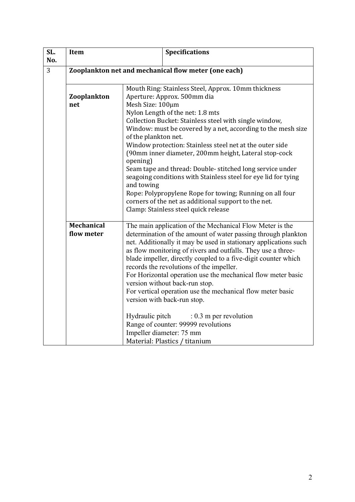| SL.<br>No. | <b>Item</b>                                          | <b>Specifications</b>                                                                                            |  |  |
|------------|------------------------------------------------------|------------------------------------------------------------------------------------------------------------------|--|--|
| 3          | Zooplankton net and mechanical flow meter (one each) |                                                                                                                  |  |  |
|            |                                                      | Mouth Ring: Stainless Steel, Approx. 10mm thickness                                                              |  |  |
|            | Zooplankton                                          | Aperture: Approx. 500mm dia                                                                                      |  |  |
|            | net                                                  | Mesh Size: 100µm                                                                                                 |  |  |
|            |                                                      | Nylon Length of the net: 1.8 mts                                                                                 |  |  |
|            |                                                      | Collection Bucket: Stainless steel with single window,                                                           |  |  |
|            |                                                      | Window: must be covered by a net, according to the mesh size<br>of the plankton net.                             |  |  |
|            |                                                      | Window protection: Stainless steel net at the outer side                                                         |  |  |
|            |                                                      | (90mm inner diameter, 200mm height, Lateral stop-cock<br>opening)                                                |  |  |
|            |                                                      | Seam tape and thread: Double-stitched long service under                                                         |  |  |
|            |                                                      | seagoing conditions with Stainless steel for eye lid for tying                                                   |  |  |
|            |                                                      | and towing                                                                                                       |  |  |
|            |                                                      | Rope: Polypropylene Rope for towing; Running on all four<br>corners of the net as additional support to the net. |  |  |
|            |                                                      | Clamp: Stainless steel quick release                                                                             |  |  |
|            |                                                      |                                                                                                                  |  |  |
|            | <b>Mechanical</b>                                    | The main application of the Mechanical Flow Meter is the                                                         |  |  |
|            | flow meter                                           | determination of the amount of water passing through plankton                                                    |  |  |
|            |                                                      | net. Additionally it may be used in stationary applications such                                                 |  |  |
|            |                                                      | as flow monitoring of rivers and outfalls. They use a three-                                                     |  |  |
|            |                                                      | blade impeller, directly coupled to a five-digit counter which                                                   |  |  |
|            |                                                      | records the revolutions of the impeller.                                                                         |  |  |
|            |                                                      | For Horizontal operation use the mechanical flow meter basic                                                     |  |  |
|            |                                                      | version without back-run stop.<br>For vertical operation use the mechanical flow meter basic                     |  |  |
|            |                                                      | version with back-run stop.                                                                                      |  |  |
|            |                                                      |                                                                                                                  |  |  |
|            |                                                      | Hydraulic pitch<br>$: 0.3$ m per revolution                                                                      |  |  |
|            |                                                      | Range of counter: 99999 revolutions                                                                              |  |  |
|            |                                                      | Impeller diameter: 75 mm                                                                                         |  |  |
|            |                                                      | Material: Plastics / titanium                                                                                    |  |  |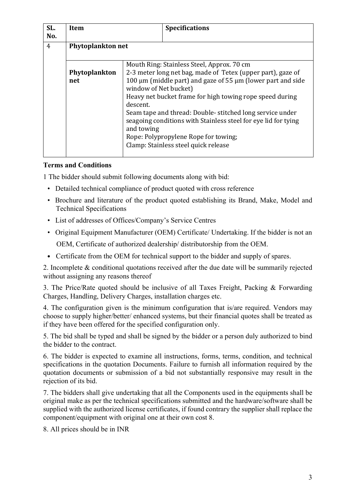| SL.<br>No.     | <b>Item</b>          |                                                                                                                                                                                                                                                                                                                                                                                                                                                                                                                 | <b>Specifications</b> |  |  |
|----------------|----------------------|-----------------------------------------------------------------------------------------------------------------------------------------------------------------------------------------------------------------------------------------------------------------------------------------------------------------------------------------------------------------------------------------------------------------------------------------------------------------------------------------------------------------|-----------------------|--|--|
| $\overline{4}$ | Phytoplankton net    |                                                                                                                                                                                                                                                                                                                                                                                                                                                                                                                 |                       |  |  |
|                | Phytoplankton<br>net | Mouth Ring: Stainless Steel, Approx. 70 cm<br>2-3 meter long net bag, made of Tetex (upper part), gaze of<br>100 $\mu$ m (middle part) and gaze of 55 $\mu$ m (lower part and side<br>window of Net bucket)<br>Heavy net bucket frame for high towing rope speed during<br>descent.<br>Seam tape and thread: Double-stitched long service under<br>seagoing conditions with Stainless steel for eye lid for tying<br>and towing<br>Rope: Polypropylene Rope for towing;<br>Clamp: Stainless steel quick release |                       |  |  |

## **Terms and Conditions**

1 The bidder should submit following documents along with bid:

- Detailed technical compliance of product quoted with cross reference
- Brochure and literature of the product quoted establishing its Brand, Make, Model and Technical Specifications
- List of addresses of Offices/Company's Service Centres
- Original Equipment Manufacturer (OEM) Certificate/ Undertaking. If the bidder is not an OEM, Certificate of authorized dealership/ distributorship from the OEM.
- Certificate from the OEM for technical support to the bidder and supply of spares.

2. Incomplete & conditional quotations received after the due date will be summarily rejected without assigning any reasons thereof

3. The Price/Rate quoted should be inclusive of all Taxes Freight, Packing & Forwarding Charges, Handling, Delivery Charges, installation charges etc.

4. The configuration given is the minimum configuration that is/are required. Vendors may choose to supply higher/better/ enhanced systems, but their financial quotes shall be treated as if they have been offered for the specified configuration only.

5. The bid shall be typed and shall be signed by the bidder or a person duly authorized to bind the bidder to the contract.

6. The bidder is expected to examine all instructions, forms, terms, condition, and technical specifications in the quotation Documents. Failure to furnish all information required by the quotation documents or submission of a bid not substantially responsive may result in the rejection of its bid.

7. The bidders shall give undertaking that all the Components used in the equipments shall be original make as per the technical specifications submitted and the hardware/software shall be supplied with the authorized license certificates, if found contrary the supplier shall replace the component/equipment with original one at their own cost 8.

8. All prices should be in INR